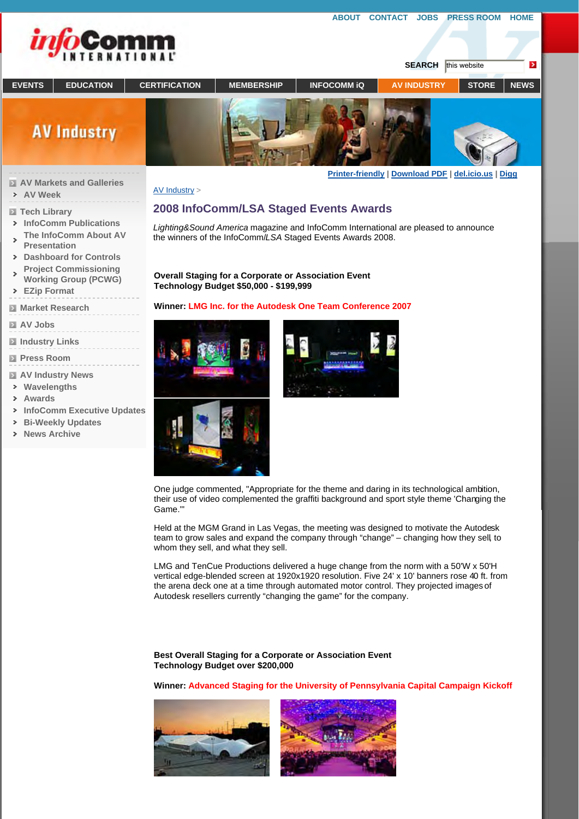

**AV Week Tech Library** 

 $\overline{ }$  $\rightarrow$  $\rightarrow$ 

 $\overline{ }$  $\rightarrow$ 

**InfoComm Publications The InfoComm About AV** 

**Dashboard for Controls Project Commissioning Working Group (PCWG)**

**Presentation**

**EZip Format Market Research**

**Industry Links Press Room** 

**AV Industry News Wavelengths Awards**

**Bi-Weekly Updates News Archive**

**InfoComm Executive Updates**

**AV Jobs**



AV Industry >

## **2008 InfoComm/LSA Staged Events Awards**

*Lighting&Sound America* magazine and InfoComm International are pleased to announce the winners of the InfoComm/*LSA* Staged Events Awards 2008.

**ABOUT CONTACT JOBS PRESS ROOM HOME**

**Overall Staging for a Corporate or Association Event Technology Budget \$50,000 - \$199,999**

## **Winner: LMG Inc. for the Autodesk One Team Conference 2007**







One judge commented, "Appropriate for the theme and daring in its technological ambition, their use of video complemented the graffiti background and sport style theme 'Changing the Game.'"

Held at the MGM Grand in Las Vegas, the meeting was designed to motivate the Autodesk team to grow sales and expand the company through "change" – changing how they sell, to whom they sell, and what they sell.

LMG and TenCue Productions delivered a huge change from the norm with a 50'W x 50'H vertical edge-blended screen at 1920x1920 resolution. Five 24' x 10' banners rose 40 ft. from the arena deck one at a time through automated motor control. They projected images of Autodesk resellers currently "changing the game" for the company.

**Best Overall Staging for a Corporate or Association Event Technology Budget over \$200,000**

**Winner: Advanced Staging for the University of Pennsylvania Capital Campaign Kickoff**